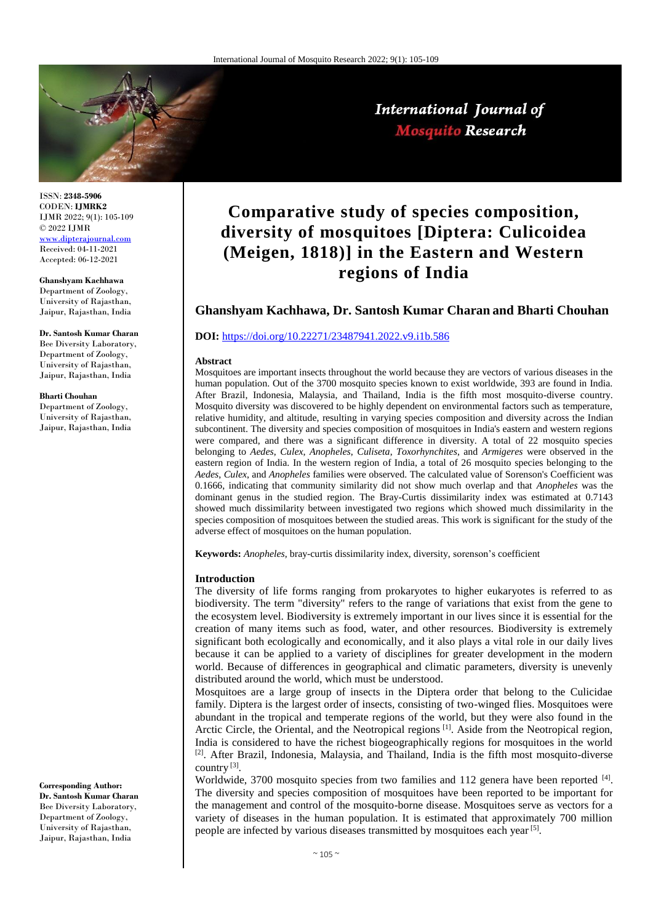

International Journal of **Mosquito Research** 

ISSN: **2348-5906** CODEN: **IJMRK2** IJMR 2022; 9(1): 105-109 © 2022 IJMR [www.dipterajournal.com](file://///server/d/Mosquito/Issue/8%20Volume/www.dipterajournal.com)

Received: 04-11-2021 Accepted: 06-12-2021

**Ghanshyam Kachhawa** Department of Zoology, University of Rajasthan, Jaipur, Rajasthan, India

**Dr. Santosh Kumar Charan**

Bee Diversity Laboratory, Department of Zoology, University of Rajasthan, Jaipur, Rajasthan, India

#### **Bharti Chouhan**

Department of Zoology, University of Rajasthan, Jaipur, Rajasthan, India

**Corresponding Author: Dr. Santosh Kumar Charan**

Bee Diversity Laboratory, Department of Zoology, University of Rajasthan, Jaipur, Rajasthan, India

# **Comparative study of species composition, diversity of mosquitoes [Diptera: Culicoidea (Meigen, 1818)] in the Eastern and Western regions of India**

# **Ghanshyam Kachhawa, Dr. Santosh Kumar Charan and Bharti Chouhan**

## **DOI:** <https://doi.org/10.22271/23487941.2022.v9.i1b.586>

#### **Abstract**

Mosquitoes are important insects throughout the world because they are vectors of various diseases in the human population. Out of the 3700 mosquito species known to exist worldwide, 393 are found in India. After Brazil, Indonesia, Malaysia, and Thailand, India is the fifth most mosquito-diverse country. Mosquito diversity was discovered to be highly dependent on environmental factors such as temperature, relative humidity, and altitude, resulting in varying species composition and diversity across the Indian subcontinent. The diversity and species composition of mosquitoes in India's eastern and western regions were compared, and there was a significant difference in diversity. A total of 22 mosquito species belonging to *Aedes*, *Culex*, *Anopheles*, *Culiseta*, *Toxorhynchites*, and *Armigeres* were observed in the eastern region of India. In the western region of India, a total of 26 mosquito species belonging to the *Aedes*, *Culex*, and *Anopheles* families were observed. The calculated value of Sorenson's Coefficient was 0.1666, indicating that community similarity did not show much overlap and that *Anopheles* was the dominant genus in the studied region. The Bray-Curtis dissimilarity index was estimated at 0.7143 showed much dissimilarity between investigated two regions which showed much dissimilarity in the species composition of mosquitoes between the studied areas. This work is significant for the study of the adverse effect of mosquitoes on the human population.

**Keywords:** *Anopheles*, bray-curtis dissimilarity index, diversity, sorenson's coefficient

#### **Introduction**

The diversity of life forms ranging from prokaryotes to higher eukaryotes is referred to as biodiversity. The term "diversity" refers to the range of variations that exist from the gene to the ecosystem level. Biodiversity is extremely important in our lives since it is essential for the creation of many items such as food, water, and other resources. Biodiversity is extremely significant both ecologically and economically, and it also plays a vital role in our daily lives because it can be applied to a variety of disciplines for greater development in the modern world. Because of differences in geographical and climatic parameters, diversity is unevenly distributed around the world, which must be understood.

Mosquitoes are a large group of insects in the Diptera order that belong to the Culicidae family. Diptera is the largest order of insects, consisting of two-winged flies. Mosquitoes were abundant in the tropical and temperate regions of the world, but they were also found in the Arctic Circle, the Oriental, and the Neotropical regions [1]. Aside from the Neotropical region, India is considered to have the richest biogeographically regions for mosquitoes in the world  $[2]$ . After Brazil, Indonesia, Malaysia, and Thailand, India is the fifth most mosquito-diverse country  $^{[3]}$ .

Worldwide, 3700 mosquito species from two families and 112 genera have been reported  $^{[4]}$ . The diversity and species composition of mosquitoes have been reported to be important for the management and control of the mosquito-borne disease. Mosquitoes serve as vectors for a variety of diseases in the human population. It is estimated that approximately 700 million people are infected by various diseases transmitted by mosquitoes each year [5].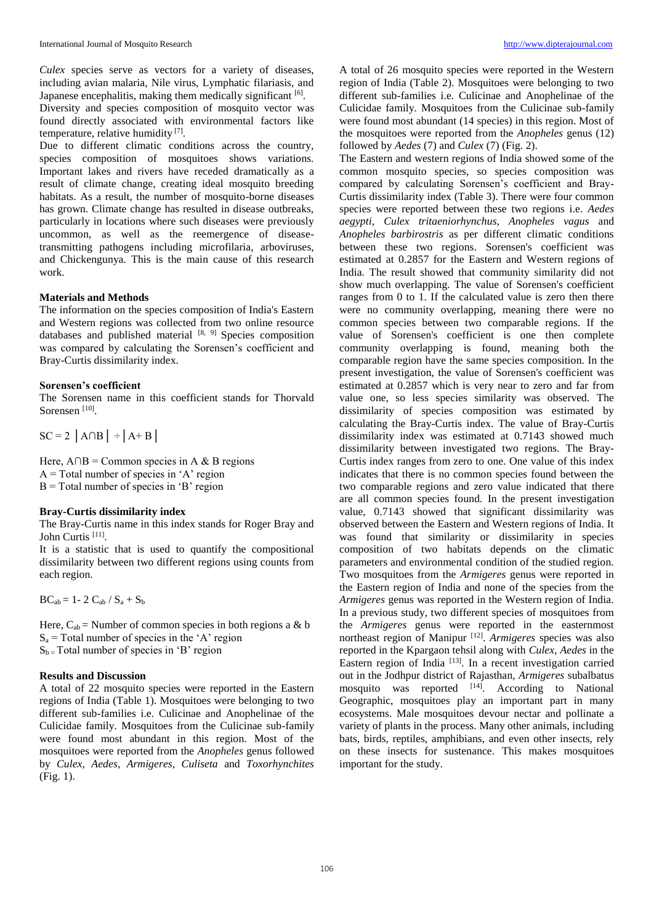*Culex* species serve as vectors for a variety of diseases, including avian malaria, Nile virus, Lymphatic filariasis, and Japanese encephalitis, making them medically significant [6].

Diversity and species composition of mosquito vector was found directly associated with environmental factors like temperature, relative humidity [7] .

Due to different climatic conditions across the country, species composition of mosquitoes shows variations. Important lakes and rivers have receded dramatically as a result of climate change, creating ideal mosquito breeding habitats. As a result, the number of mosquito-borne diseases has grown. Climate change has resulted in disease outbreaks, particularly in locations where such diseases were previously uncommon, as well as the reemergence of diseasetransmitting pathogens including microfilaria, arboviruses, and Chickengunya. This is the main cause of this research work.

## **Materials and Methods**

The information on the species composition of India's Eastern and Western regions was collected from two online resource databases and published material  $[8, 9]$  Species composition was compared by calculating the Sorensen's coefficient and Bray-Curtis dissimilarity index.

## **Sorensen's coefficient**

The Sorensen name in this coefficient stands for Thorvald Sorensen<sup>[10]</sup>.

 $SC = 2$   $|A \cap B|$  ÷  $|A + B|$ 

Here,  $A \cap B =$  Common species in A & B regions  $A = Total number of species in 'A' region$  $B = Total number of species in 'B' region$ 

## **Bray-Curtis dissimilarity index**

The Bray-Curtis name in this index stands for Roger Bray and John Curtis<sup>[11]</sup>.

It is a statistic that is used to quantify the compositional dissimilarity between two different regions using counts from each region.

 $BC_{ab} = 1 - 2 C_{ab} / S_a + S_b$ 

Here,  $C_{ab}$  = Number of common species in both regions a & b  $S_a$  = Total number of species in the 'A' region  $S_b$  = Total number of species in 'B' region

## **Results and Discussion**

A total of 22 mosquito species were reported in the Eastern regions of India (Table 1). Mosquitoes were belonging to two different sub-families i.e. Culicinae and Anophelinae of the Culicidae family. Mosquitoes from the Culicinae sub-family were found most abundant in this region. Most of the mosquitoes were reported from the *Anopheles* genus followed by *Culex*, *Aedes*, *Armigeres*, *Culiseta* and *Toxorhynchites* (Fig. 1).

A total of 26 mosquito species were reported in the Western region of India (Table 2). Mosquitoes were belonging to two different sub-families i.e. Culicinae and Anophelinae of the Culicidae family. Mosquitoes from the Culicinae sub-family were found most abundant (14 species) in this region. Most of the mosquitoes were reported from the *Anopheles* genus (12) followed by *Aedes* (7) and *Culex* (7) (Fig. 2).

The Eastern and western regions of India showed some of the common mosquito species, so species composition was compared by calculating Sorensen's coefficient and Bray-Curtis dissimilarity index (Table 3). There were four common species were reported between these two regions i.e. *Aedes aegypti, Culex tritaeniorhynchus, Anopheles vagus* and *Anopheles barbirostris* as per different climatic conditions between these two regions. Sorensen's coefficient was estimated at 0.2857 for the Eastern and Western regions of India. The result showed that community similarity did not show much overlapping. The value of Sorensen's coefficient ranges from 0 to 1. If the calculated value is zero then there were no community overlapping, meaning there were no common species between two comparable regions. If the value of Sorensen's coefficient is one then complete community overlapping is found, meaning both the comparable region have the same species composition. In the present investigation, the value of Sorensen's coefficient was estimated at 0.2857 which is very near to zero and far from value one, so less species similarity was observed. The dissimilarity of species composition was estimated by calculating the Bray-Curtis index. The value of Bray-Curtis dissimilarity index was estimated at 0.7143 showed much dissimilarity between investigated two regions. The Bray-Curtis index ranges from zero to one. One value of this index indicates that there is no common species found between the two comparable regions and zero value indicated that there are all common species found. In the present investigation value, 0.7143 showed that significant dissimilarity was observed between the Eastern and Western regions of India. It was found that similarity or dissimilarity in species composition of two habitats depends on the climatic parameters and environmental condition of the studied region. Two mosquitoes from the *Armigeres* genus were reported in the Eastern region of India and none of the species from the *Armigeres* genus was reported in the Western region of India. In a previous study, two different species of mosquitoes from the *Armigeres* genus were reported in the easternmost northeast region of Manipur [12] . *Armigeres* species was also reported in the Kpargaon tehsil along with *Culex*, *Aedes* in the Eastern region of India [13]. In a recent investigation carried out in the Jodhpur district of Rajasthan, *Armigeres* subalbatus mosquito was reported  $[14]$ . According to National Geographic, mosquitoes play an important part in many ecosystems. Male mosquitoes devour nectar and pollinate a variety of plants in the process. Many other animals, including bats, birds, reptiles, amphibians, and even other insects, rely on these insects for sustenance. This makes mosquitoes important for the study.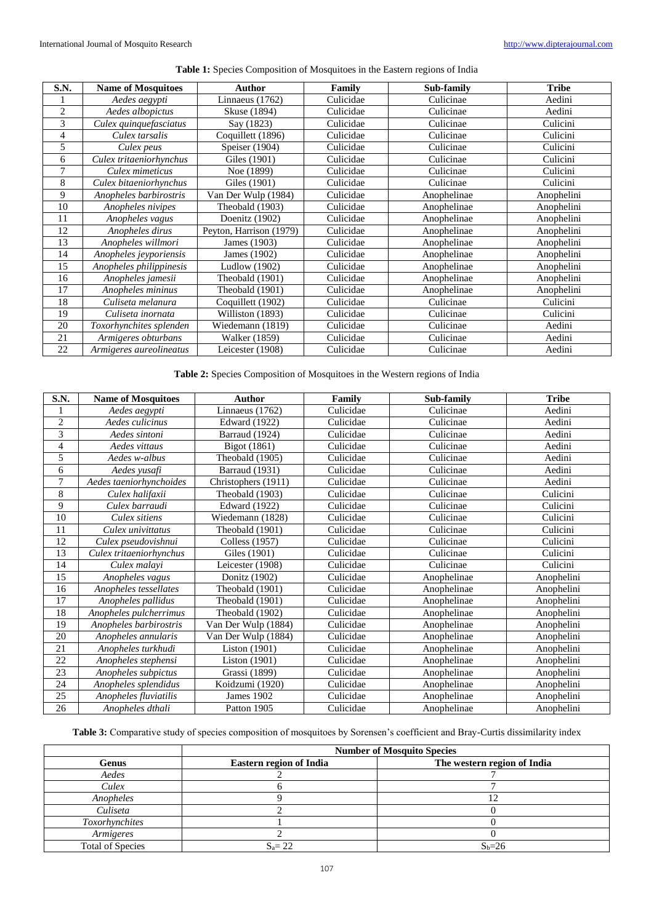|  |  | Table 1: Species Composition of Mosquitoes in the Eastern regions of India |  |  |  |  |  |
|--|--|----------------------------------------------------------------------------|--|--|--|--|--|
|  |  |                                                                            |  |  |  |  |  |

| S.N.           | <b>Name of Mosquitoes</b> | <b>Author</b>           | Family    | Sub-family  | <b>Tribe</b> |  |
|----------------|---------------------------|-------------------------|-----------|-------------|--------------|--|
|                | Aedes aegypti             | Linnaeus $(1762)$       | Culicidae | Culicinae   | Aedini       |  |
| $\overline{c}$ | Aedes albopictus          | Skuse (1894)            | Culicidae | Culicinae   | Aedini       |  |
| 3              | Culex quinquefasciatus    | Say (1823)              | Culicidae | Culicinae   | Culicini     |  |
| 4              | Culex tarsalis            | Coquillett (1896)       | Culicidae | Culicinae   | Culicini     |  |
| 5              | Culex peus                | Speiser (1904)          | Culicidae | Culicinae   | Culicini     |  |
| 6              | Culex tritaeniorhynchus   | Giles (1901)            | Culicidae | Culicinae   | Culicini     |  |
| 7              | Culex mimeticus           | Noe (1899)              | Culicidae | Culicinae   | Culicini     |  |
| 8              | Culex bitaeniorhynchus    | Giles (1901)            | Culicidae | Culicinae   | Culicini     |  |
| 9              | Anopheles barbirostris    | Van Der Wulp (1984)     | Culicidae | Anophelinae | Anophelini   |  |
| 10             | Anopheles nivipes         | Theobald (1903)         | Culicidae | Anophelinae | Anophelini   |  |
| 11             | Anopheles vagus           | Doenitz (1902)          | Culicidae | Anophelinae | Anophelini   |  |
| 12             | Anopheles dirus           | Peyton, Harrison (1979) | Culicidae | Anophelinae | Anophelini   |  |
| 13             | Anopheles willmori        | James (1903)            | Culicidae | Anophelinae | Anophelini   |  |
| 14             | Anopheles jeyporiensis    | James (1902)            | Culicidae | Anophelinae | Anophelini   |  |
| 15             | Anopheles philippinesis   | Ludlow (1902)           | Culicidae | Anophelinae | Anophelini   |  |
| 16             | Anopheles jamesii         | Theobald (1901)         | Culicidae | Anophelinae | Anophelini   |  |
| 17             | Anopheles mininus         | Theobald (1901)         | Culicidae | Anophelinae | Anophelini   |  |
| 18             | Culiseta melanura         | Coquillett (1902)       | Culicidae | Culicinae   | Culicini     |  |
| 19             | Culiseta inornata         | Williston (1893)        | Culicidae | Culicinae   | Culicini     |  |
| 20             | Toxorhynchites splenden   | Wiedemann (1819)        | Culicidae | Culicinae   | Aedini       |  |
| 21             | Armigeres obturbans       | <b>Walker</b> (1859)    | Culicidae | Culicinae   | Aedini       |  |
| 22             | Armigeres aureolineatus   | Leicester (1908)        | Culicidae | Culicinae   | Aedini       |  |

**Table 2:** Species Composition of Mosquitoes in the Western regions of India

| S.N.           | <b>Name of Mosquitoes</b> | <b>Author</b>         | Family    | Sub-family  | <b>Tribe</b> |  |
|----------------|---------------------------|-----------------------|-----------|-------------|--------------|--|
| 1              | Aedes aegypti             | Linnaeus (1762)       | Culicidae | Culicinae   | Aedini       |  |
| 2              | Aedes culicinus           | <b>Edward</b> (1922)  | Culicidae | Culicinae   | Aedini       |  |
| $\overline{3}$ | Aedes sintoni             | Barraud (1924)        | Culicidae | Culicinae   | Aedini       |  |
| 4              | Aedes vittaus             | Bigot (1861)          | Culicidae | Culicinae   | Aedini       |  |
| 5              | Aedes w-albus             | Theobald (1905)       | Culicidae | Culicinae   | Aedini       |  |
| 6              | Aedes yusafi              | <b>Barraud</b> (1931) | Culicidae | Culicinae   | Aedini       |  |
| 7              | Aedes taeniorhynchoides   | Christophers (1911)   | Culicidae | Culicinae   | Aedini       |  |
| 8              | Culex halifaxii           | Theobald (1903)       | Culicidae | Culicinae   | Culicini     |  |
| 9              | Culex barraudi            | <b>Edward</b> (1922)  | Culicidae | Culicinae   | Culicini     |  |
| 10             | Culex sitiens             | Wiedemann (1828)      | Culicidae | Culicinae   | Culicini     |  |
| 11             | Culex univittatus         | Theobald (1901)       | Culicidae | Culicinae   | Culicini     |  |
| 12             | Culex pseudovishnui       | <b>Colless</b> (1957) | Culicidae | Culicinae   | Culicini     |  |
| 13             | Culex tritaeniorhynchus   | Giles (1901)          | Culicidae | Culicinae   | Culicini     |  |
| 14             | Culex malavi              | Leicester (1908)      | Culicidae | Culicinae   | Culicini     |  |
| 15             | Anopheles vagus           | Donitz (1902)         | Culicidae | Anophelinae | Anophelini   |  |
| 16             | Anopheles tessellates     | Theobald (1901)       | Culicidae | Anophelinae | Anophelini   |  |
| 17             | Anopheles pallidus        | Theobald (1901)       | Culicidae | Anophelinae | Anophelini   |  |
| 18             | Anopheles pulcherrimus    | Theobald (1902)       | Culicidae | Anophelinae | Anophelini   |  |
| 19             | Anopheles barbirostris    | Van Der Wulp (1884)   | Culicidae | Anophelinae | Anophelini   |  |
| 20             | Anopheles annularis       | Van Der Wulp (1884)   | Culicidae | Anophelinae | Anophelini   |  |
| 21             | Anopheles turkhudi        | Liston $(1901)$       | Culicidae | Anophelinae | Anophelini   |  |
| 22             | Anopheles stephensi       | Liston (1901)         | Culicidae | Anophelinae | Anophelini   |  |
| 23             | Anopheles subpictus       | Grassi (1899)         | Culicidae | Anophelinae | Anophelini   |  |
| 24             | Anopheles splendidus      | Koidzumi (1920)       | Culicidae | Anophelinae | Anophelini   |  |
| 25             | Anopheles fluviatilis     | <b>James</b> 1902     | Culicidae | Anophelinae | Anophelini   |  |
| 26             | Anopheles dthali          | Patton 1905           | Culicidae | Anophelinae | Anophelini   |  |

**Table 3:** Comparative study of species composition of mosquitoes by Sorensen's coefficient and Bray-Curtis dissimilarity index

|                         | <b>Number of Mosquito Species</b> |                             |  |  |  |
|-------------------------|-----------------------------------|-----------------------------|--|--|--|
| Genus                   | <b>Eastern region of India</b>    | The western region of India |  |  |  |
| Aedes                   |                                   |                             |  |  |  |
| Culex                   |                                   |                             |  |  |  |
| Anopheles               |                                   |                             |  |  |  |
| Culiseta                |                                   |                             |  |  |  |
| <b>Toxorhynchites</b>   |                                   |                             |  |  |  |
| Armigeres               |                                   |                             |  |  |  |
| <b>Total of Species</b> | $S_a = 22$                        | $S_b=26$                    |  |  |  |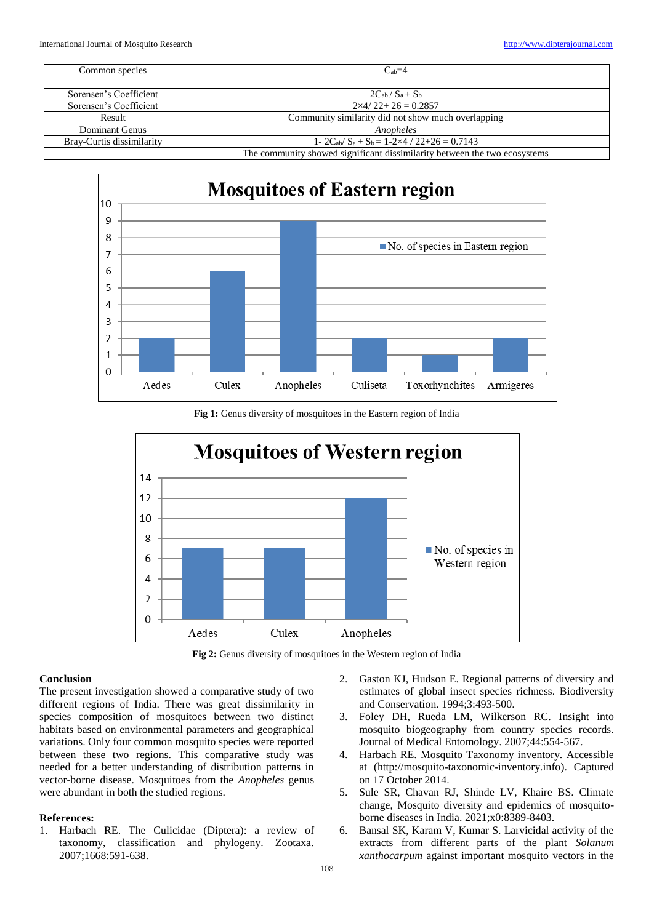| Common species            | $C_{ab}=4$                                                                |  |  |  |
|---------------------------|---------------------------------------------------------------------------|--|--|--|
|                           |                                                                           |  |  |  |
| Sorensen's Coefficient    | $2C_{ab}/S_a + S_b$                                                       |  |  |  |
| Sorensen's Coefficient    | $2\times4/22+26=0.2857$                                                   |  |  |  |
| Result                    | Community similarity did not show much overlapping                        |  |  |  |
| Dominant Genus            | Anopheles                                                                 |  |  |  |
| Bray-Curtis dissimilarity | 1- $2C_{ab}/S_a + S_b = 1-2\times4/22+26 = 0.7143$                        |  |  |  |
|                           | The community showed significant dissimilarity between the two ecosystems |  |  |  |



Fig 1: Genus diversity of mosquitoes in the Eastern region of India



Fig 2: Genus diversity of mosquitoes in the Western region of India

### **Conclusion**

The present investigation showed a comparative study of two different regions of India. There was great dissimilarity in species composition of mosquitoes between two distinct habitats based on environmental parameters and geographical variations. Only four common mosquito species were reported between these two regions. This comparative study was needed for a better understanding of distribution patterns in vector-borne disease. Mosquitoes from the *Anopheles* genus were abundant in both the studied regions.

#### **References:**

1. Harbach RE. The Culicidae (Diptera): a review of taxonomy, classification and phylogeny. Zootaxa. 2007;1668:591-638.

- 2. Gaston KJ, Hudson E. Regional patterns of diversity and estimates of global insect species richness. Biodiversity and Conservation. 1994;3:493-500.
- 3. Foley DH, Rueda LM, Wilkerson RC. Insight into mosquito biogeography from country species records. Journal of Medical Entomology. 2007;44:554-567.
- 4. Harbach RE. Mosquito Taxonomy inventory. Accessible at (http://mosquito-taxonomic-inventory.info). Captured on 17 October 2014.
- 5. Sule SR, Chavan RJ, Shinde LV, Khaire BS. Climate change, Mosquito diversity and epidemics of mosquitoborne diseases in India. 2021;x0:8389-8403.
- 6. Bansal SK, Karam V, Kumar S. Larvicidal activity of the extracts from different parts of the plant *Solanum xanthocarpum* against important mosquito vectors in the